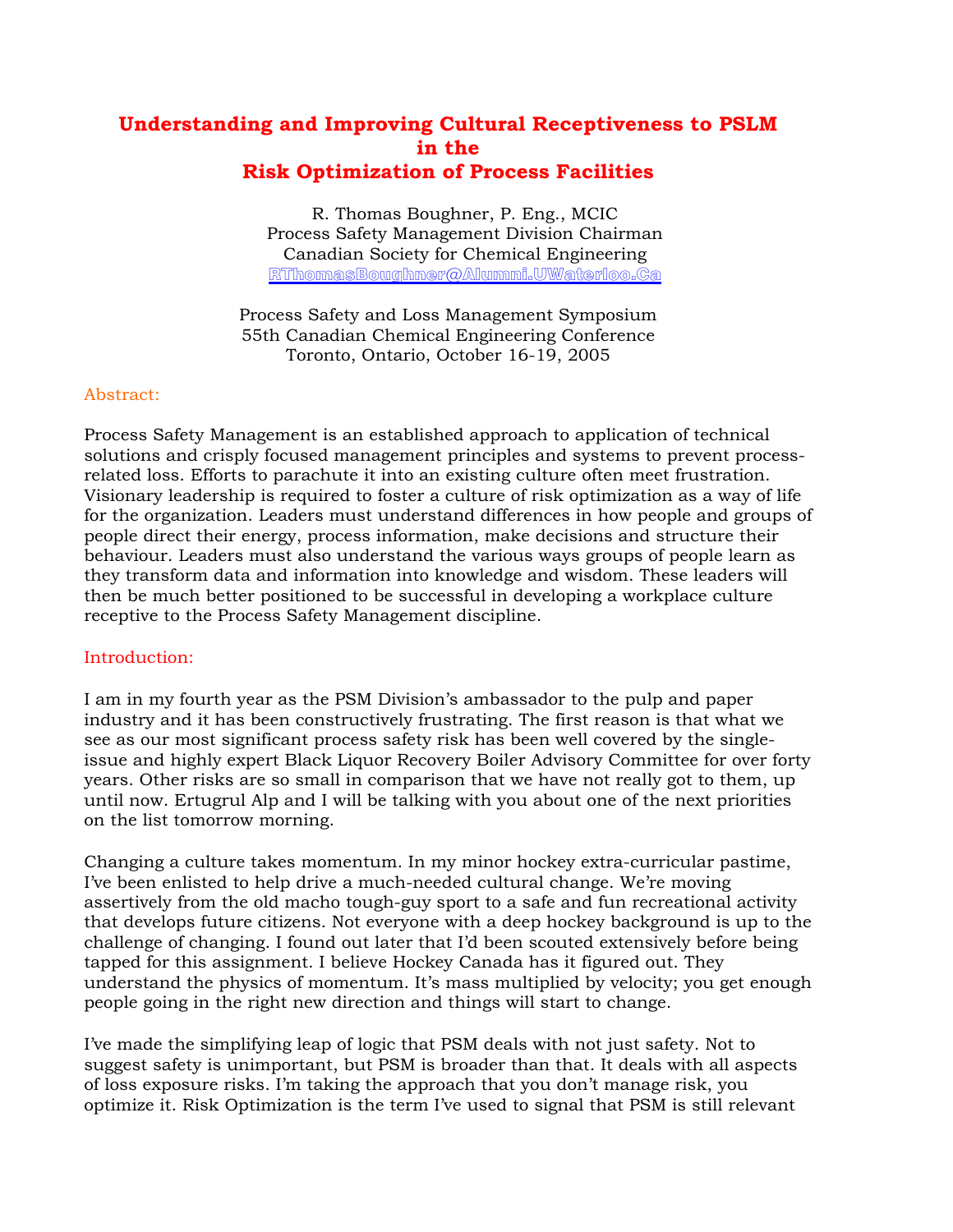# **Understanding and Improving Cultural Receptiveness to PSLM in the Risk Optimization of Process Facilities**

R. Thomas Boughner, P. Eng., MCIC Process Safety Management Division Chairman Canadian Society for Chemical Engineering RThomasBoughner@Alumni.UWaterloo.Ca

Process Safety and Loss Management Symposium 55th Canadian Chemical Engineering Conference Toronto, Ontario, October 16-19, 2005

## Abstract:

Process Safety Management is an established approach to application of technical solutions and crisply focused management principles and systems to prevent processrelated loss. Efforts to parachute it into an existing culture often meet frustration. Visionary leadership is required to foster a culture of risk optimization as a way of life for the organization. Leaders must understand differences in how people and groups of people direct their energy, process information, make decisions and structure their behaviour. Leaders must also understand the various ways groups of people learn as they transform data and information into knowledge and wisdom. These leaders will then be much better positioned to be successful in developing a workplace culture receptive to the Process Safety Management discipline.

#### Introduction:

I am in my fourth year as the PSM Division's ambassador to the pulp and paper industry and it has been constructively frustrating. The first reason is that what we see as our most significant process safety risk has been well covered by the singleissue and highly expert Black Liquor Recovery Boiler Advisory Committee for over forty years. Other risks are so small in comparison that we have not really got to them, up until now. Ertugrul Alp and I will be talking with you about one of the next priorities on the list tomorrow morning.

Changing a culture takes momentum. In my minor hockey extra-curricular pastime, I've been enlisted to help drive a much-needed cultural change. We're moving assertively from the old macho tough-guy sport to a safe and fun recreational activity that develops future citizens. Not everyone with a deep hockey background is up to the challenge of changing. I found out later that I'd been scouted extensively before being tapped for this assignment. I believe Hockey Canada has it figured out. They understand the physics of momentum. It's mass multiplied by velocity; you get enough people going in the right new direction and things will start to change.

I've made the simplifying leap of logic that PSM deals with not just safety. Not to suggest safety is unimportant, but PSM is broader than that. It deals with all aspects of loss exposure risks. I'm taking the approach that you don't manage risk, you optimize it. Risk Optimization is the term I've used to signal that PSM is still relevant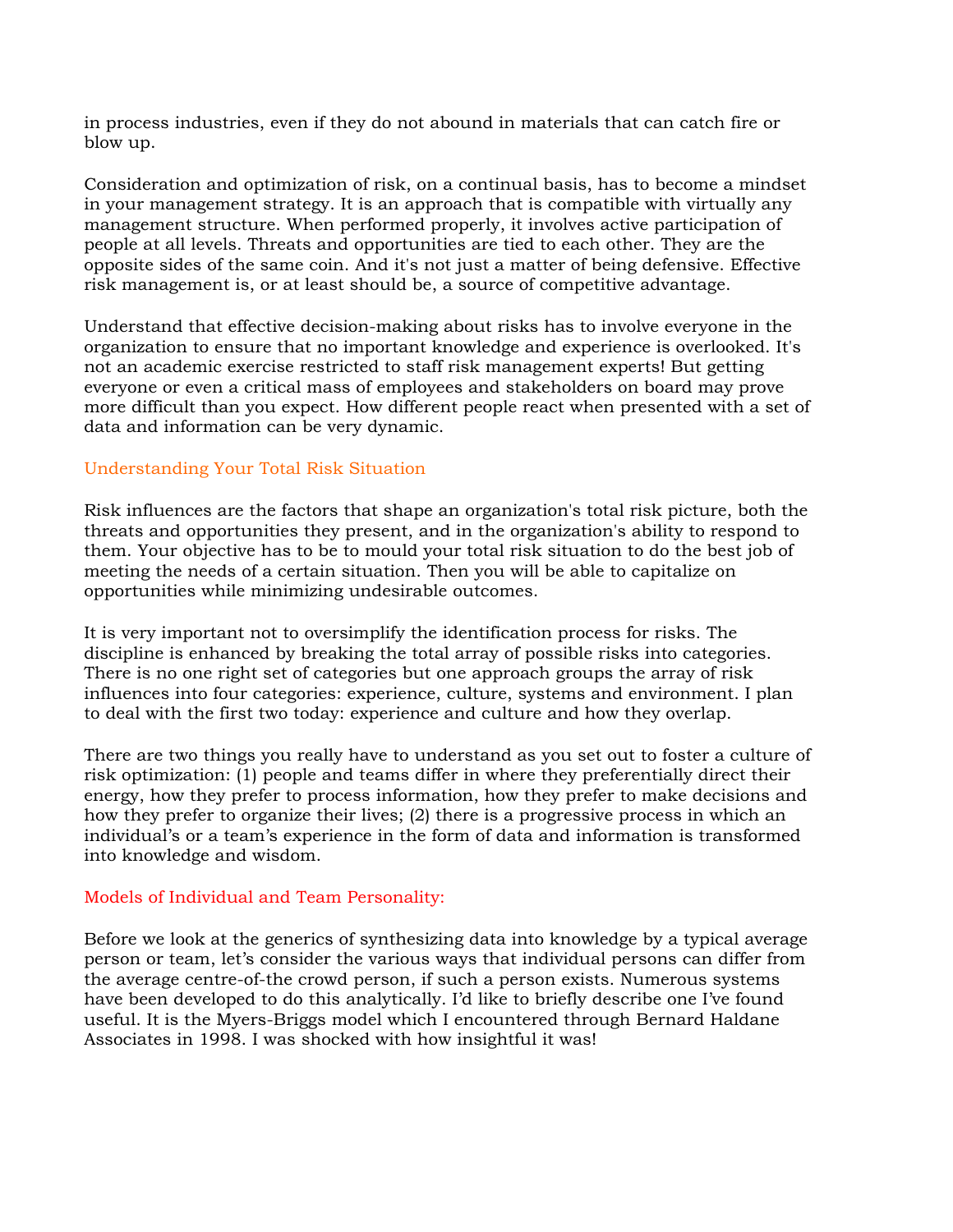in process industries, even if they do not abound in materials that can catch fire or blow up.

Consideration and optimization of risk, on a continual basis, has to become a mindset in your management strategy. It is an approach that is compatible with virtually any management structure. When performed properly, it involves active participation of people at all levels. Threats and opportunities are tied to each other. They are the opposite sides of the same coin. And it's not just a matter of being defensive. Effective risk management is, or at least should be, a source of competitive advantage.

Understand that effective decision-making about risks has to involve everyone in the organization to ensure that no important knowledge and experience is overlooked. It's not an academic exercise restricted to staff risk management experts! But getting everyone or even a critical mass of employees and stakeholders on board may prove more difficult than you expect. How different people react when presented with a set of data and information can be very dynamic.

# Understanding Your Total Risk Situation

Risk influences are the factors that shape an organization's total risk picture, both the threats and opportunities they present, and in the organization's ability to respond to them. Your objective has to be to mould your total risk situation to do the best job of meeting the needs of a certain situation. Then you will be able to capitalize on opportunities while minimizing undesirable outcomes.

It is very important not to oversimplify the identification process for risks. The discipline is enhanced by breaking the total array of possible risks into categories. There is no one right set of categories but one approach groups the array of risk influences into four categories: experience, culture, systems and environment. I plan to deal with the first two today: experience and culture and how they overlap.

There are two things you really have to understand as you set out to foster a culture of risk optimization: (1) people and teams differ in where they preferentially direct their energy, how they prefer to process information, how they prefer to make decisions and how they prefer to organize their lives; (2) there is a progressive process in which an individual's or a team's experience in the form of data and information is transformed into knowledge and wisdom.

#### Models of Individual and Team Personality:

Before we look at the generics of synthesizing data into knowledge by a typical average person or team, let's consider the various ways that individual persons can differ from the average centre-of-the crowd person, if such a person exists. Numerous systems have been developed to do this analytically. I'd like to briefly describe one I've found useful. It is the Myers-Briggs model which I encountered through Bernard Haldane Associates in 1998. I was shocked with how insightful it was!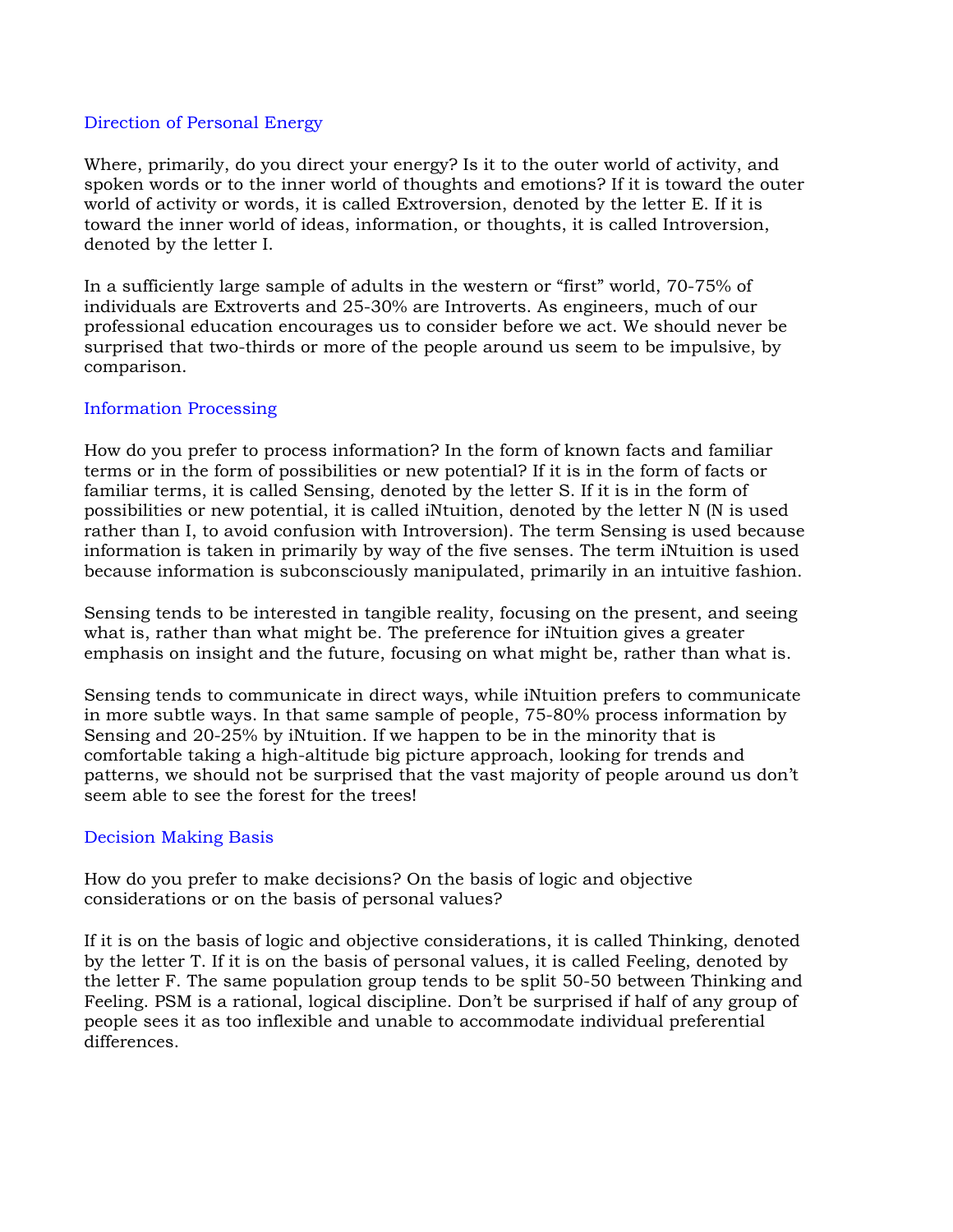#### Direction of Personal Energy

Where, primarily, do you direct your energy? Is it to the outer world of activity, and spoken words or to the inner world of thoughts and emotions? If it is toward the outer world of activity or words, it is called Extroversion, denoted by the letter E. If it is toward the inner world of ideas, information, or thoughts, it is called Introversion, denoted by the letter I.

In a sufficiently large sample of adults in the western or "first" world, 70-75% of individuals are Extroverts and 25-30% are Introverts. As engineers, much of our professional education encourages us to consider before we act. We should never be surprised that two-thirds or more of the people around us seem to be impulsive, by comparison.

## Information Processing

How do you prefer to process information? In the form of known facts and familiar terms or in the form of possibilities or new potential? If it is in the form of facts or familiar terms, it is called Sensing, denoted by the letter S. If it is in the form of possibilities or new potential, it is called iNtuition, denoted by the letter N (N is used rather than I, to avoid confusion with Introversion). The term Sensing is used because information is taken in primarily by way of the five senses. The term iNtuition is used because information is subconsciously manipulated, primarily in an intuitive fashion.

Sensing tends to be interested in tangible reality, focusing on the present, and seeing what is, rather than what might be. The preference for iNtuition gives a greater emphasis on insight and the future, focusing on what might be, rather than what is.

Sensing tends to communicate in direct ways, while iNtuition prefers to communicate in more subtle ways. In that same sample of people, 75-80% process information by Sensing and 20-25% by iNtuition. If we happen to be in the minority that is comfortable taking a high-altitude big picture approach, looking for trends and patterns, we should not be surprised that the vast majority of people around us don't seem able to see the forest for the trees!

# Decision Making Basis

How do you prefer to make decisions? On the basis of logic and objective considerations or on the basis of personal values?

If it is on the basis of logic and objective considerations, it is called Thinking, denoted by the letter T. If it is on the basis of personal values, it is called Feeling, denoted by the letter F. The same population group tends to be split 50-50 between Thinking and Feeling. PSM is a rational, logical discipline. Don't be surprised if half of any group of people sees it as too inflexible and unable to accommodate individual preferential differences.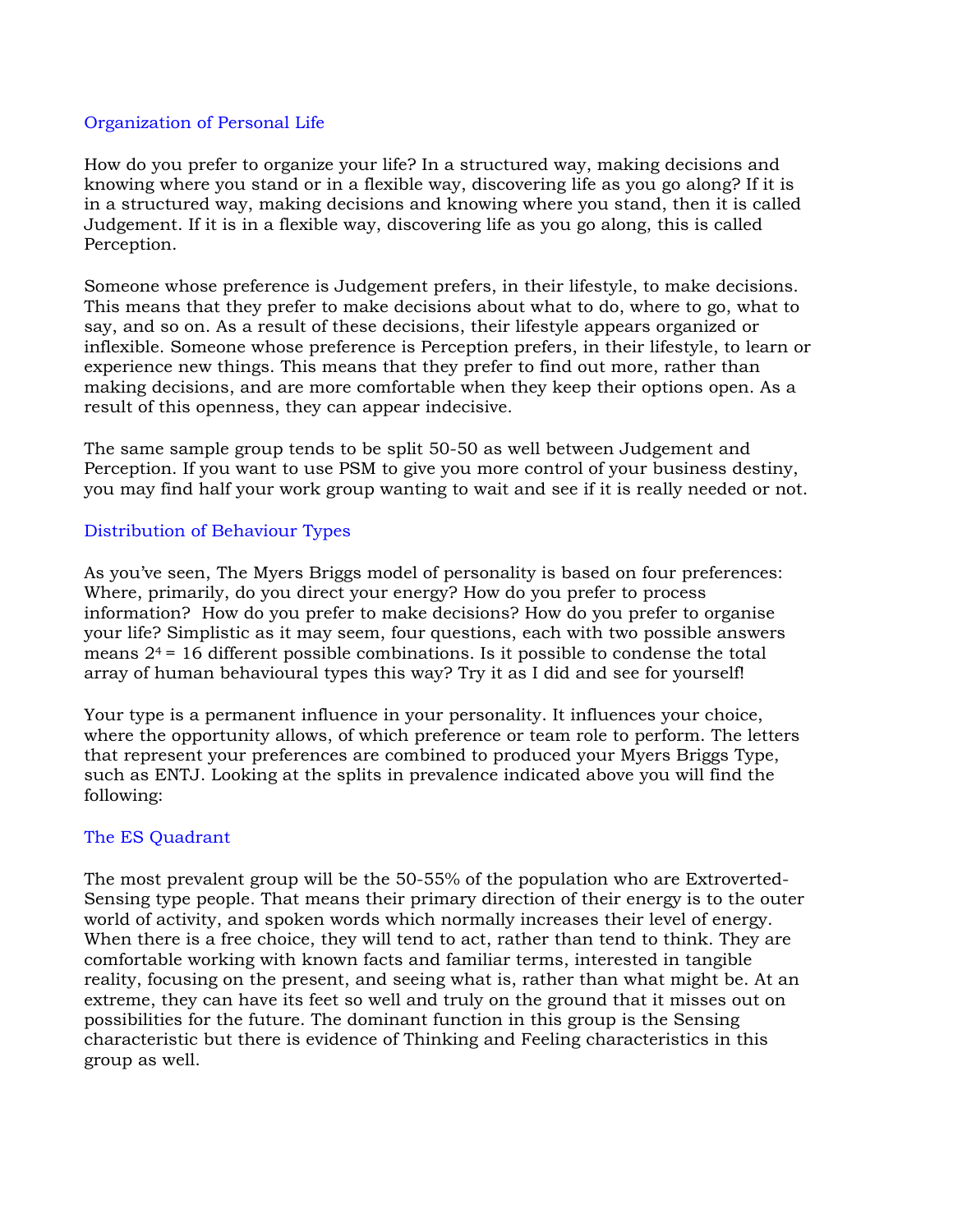#### Organization of Personal Life

How do you prefer to organize your life? In a structured way, making decisions and knowing where you stand or in a flexible way, discovering life as you go along? If it is in a structured way, making decisions and knowing where you stand, then it is called Judgement. If it is in a flexible way, discovering life as you go along, this is called Perception.

Someone whose preference is Judgement prefers, in their lifestyle, to make decisions. This means that they prefer to make decisions about what to do, where to go, what to say, and so on. As a result of these decisions, their lifestyle appears organized or inflexible. Someone whose preference is Perception prefers, in their lifestyle, to learn or experience new things. This means that they prefer to find out more, rather than making decisions, and are more comfortable when they keep their options open. As a result of this openness, they can appear indecisive.

The same sample group tends to be split 50-50 as well between Judgement and Perception. If you want to use PSM to give you more control of your business destiny, you may find half your work group wanting to wait and see if it is really needed or not.

## Distribution of Behaviour Types

As you've seen, The Myers Briggs model of personality is based on four preferences: Where, primarily, do you direct your energy? How do you prefer to process information? How do you prefer to make decisions? How do you prefer to organise your life? Simplistic as it may seem, four questions, each with two possible answers means  $2^4$  = 16 different possible combinations. Is it possible to condense the total array of human behavioural types this way? Try it as I did and see for yourself!

Your type is a permanent influence in your personality. It influences your choice, where the opportunity allows, of which preference or team role to perform. The letters that represent your preferences are combined to produced your Myers Briggs Type, such as ENTJ. Looking at the splits in prevalence indicated above you will find the following:

#### The ES Quadrant

The most prevalent group will be the 50-55% of the population who are Extroverted-Sensing type people. That means their primary direction of their energy is to the outer world of activity, and spoken words which normally increases their level of energy. When there is a free choice, they will tend to act, rather than tend to think. They are comfortable working with known facts and familiar terms, interested in tangible reality, focusing on the present, and seeing what is, rather than what might be. At an extreme, they can have its feet so well and truly on the ground that it misses out on possibilities for the future. The dominant function in this group is the Sensing characteristic but there is evidence of Thinking and Feeling characteristics in this group as well.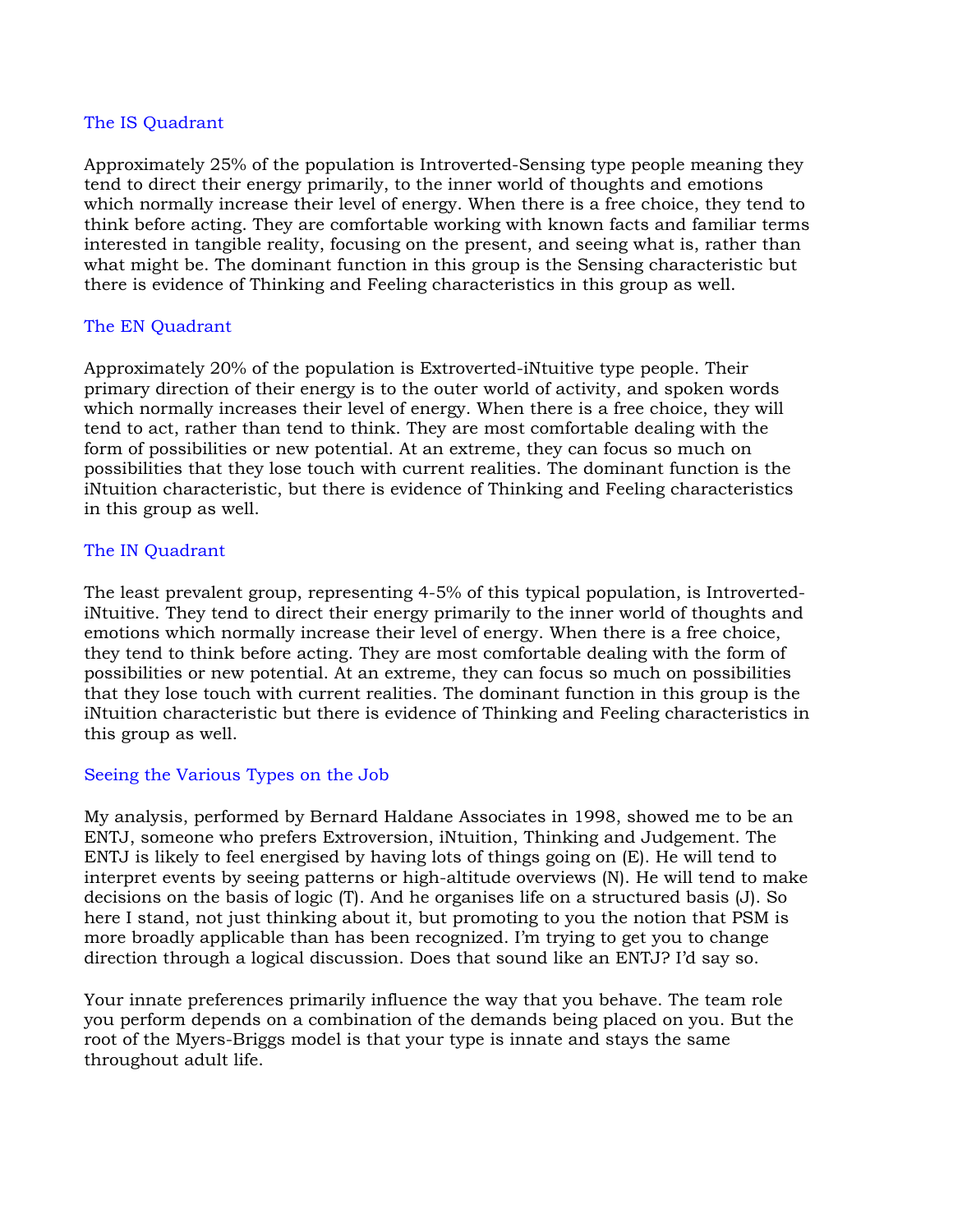#### The IS Quadrant

Approximately 25% of the population is Introverted-Sensing type people meaning they tend to direct their energy primarily, to the inner world of thoughts and emotions which normally increase their level of energy. When there is a free choice, they tend to think before acting. They are comfortable working with known facts and familiar terms interested in tangible reality, focusing on the present, and seeing what is, rather than what might be. The dominant function in this group is the Sensing characteristic but there is evidence of Thinking and Feeling characteristics in this group as well.

#### The EN Quadrant

Approximately 20% of the population is Extroverted-iNtuitive type people. Their primary direction of their energy is to the outer world of activity, and spoken words which normally increases their level of energy. When there is a free choice, they will tend to act, rather than tend to think. They are most comfortable dealing with the form of possibilities or new potential. At an extreme, they can focus so much on possibilities that they lose touch with current realities. The dominant function is the iNtuition characteristic, but there is evidence of Thinking and Feeling characteristics in this group as well.

#### The IN Quadrant

The least prevalent group, representing 4-5% of this typical population, is IntrovertediNtuitive. They tend to direct their energy primarily to the inner world of thoughts and emotions which normally increase their level of energy. When there is a free choice, they tend to think before acting. They are most comfortable dealing with the form of possibilities or new potential. At an extreme, they can focus so much on possibilities that they lose touch with current realities. The dominant function in this group is the iNtuition characteristic but there is evidence of Thinking and Feeling characteristics in this group as well.

#### Seeing the Various Types on the Job

My analysis, performed by Bernard Haldane Associates in 1998, showed me to be an ENTJ, someone who prefers Extroversion, iNtuition, Thinking and Judgement. The ENTJ is likely to feel energised by having lots of things going on (E). He will tend to interpret events by seeing patterns or high-altitude overviews (N). He will tend to make decisions on the basis of logic (T). And he organises life on a structured basis (J). So here I stand, not just thinking about it, but promoting to you the notion that PSM is more broadly applicable than has been recognized. I'm trying to get you to change direction through a logical discussion. Does that sound like an ENTJ? I'd say so.

Your innate preferences primarily influence the way that you behave. The team role you perform depends on a combination of the demands being placed on you. But the root of the Myers-Briggs model is that your type is innate and stays the same throughout adult life.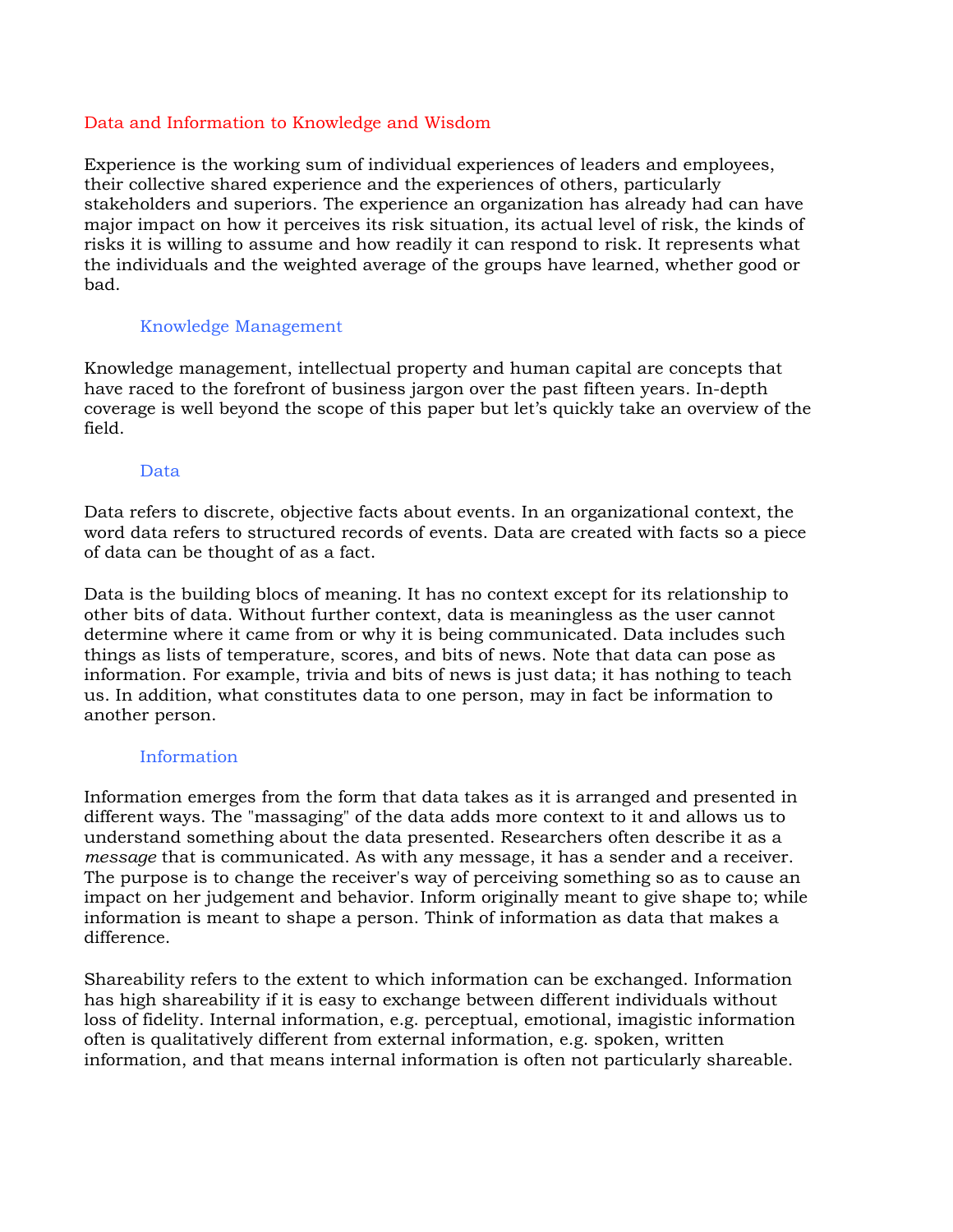#### Data and Information to Knowledge and Wisdom

Experience is the working sum of individual experiences of leaders and employees, their collective shared experience and the experiences of others, particularly stakeholders and superiors. The experience an organization has already had can have major impact on how it perceives its risk situation, its actual level of risk, the kinds of risks it is willing to assume and how readily it can respond to risk. It represents what the individuals and the weighted average of the groups have learned, whether good or bad.

## Knowledge Management

Knowledge management, intellectual property and human capital are concepts that have raced to the forefront of business jargon over the past fifteen years. In-depth coverage is well beyond the scope of this paper but let's quickly take an overview of the field.

## Data

Data refers to discrete, objective facts about events. In an organizational context, the word data refers to structured records of events. Data are created with facts so a piece of data can be thought of as a fact.

Data is the building blocs of meaning. It has no context except for its relationship to other bits of data. Without further context, data is meaningless as the user cannot determine where it came from or why it is being communicated. Data includes such things as lists of temperature, scores, and bits of news. Note that data can pose as information. For example, trivia and bits of news is just data; it has nothing to teach us. In addition, what constitutes data to one person, may in fact be information to another person.

#### Information

Information emerges from the form that data takes as it is arranged and presented in different ways. The "massaging" of the data adds more context to it and allows us to understand something about the data presented. Researchers often describe it as a *message* that is communicated. As with any message, it has a sender and a receiver. The purpose is to change the receiver's way of perceiving something so as to cause an impact on her judgement and behavior. Inform originally meant to give shape to; while information is meant to shape a person. Think of information as data that makes a difference.

Shareability refers to the extent to which information can be exchanged. Information has high shareability if it is easy to exchange between different individuals without loss of fidelity. Internal information, e.g. perceptual, emotional, imagistic information often is qualitatively different from external information, e.g. spoken, written information, and that means internal information is often not particularly shareable.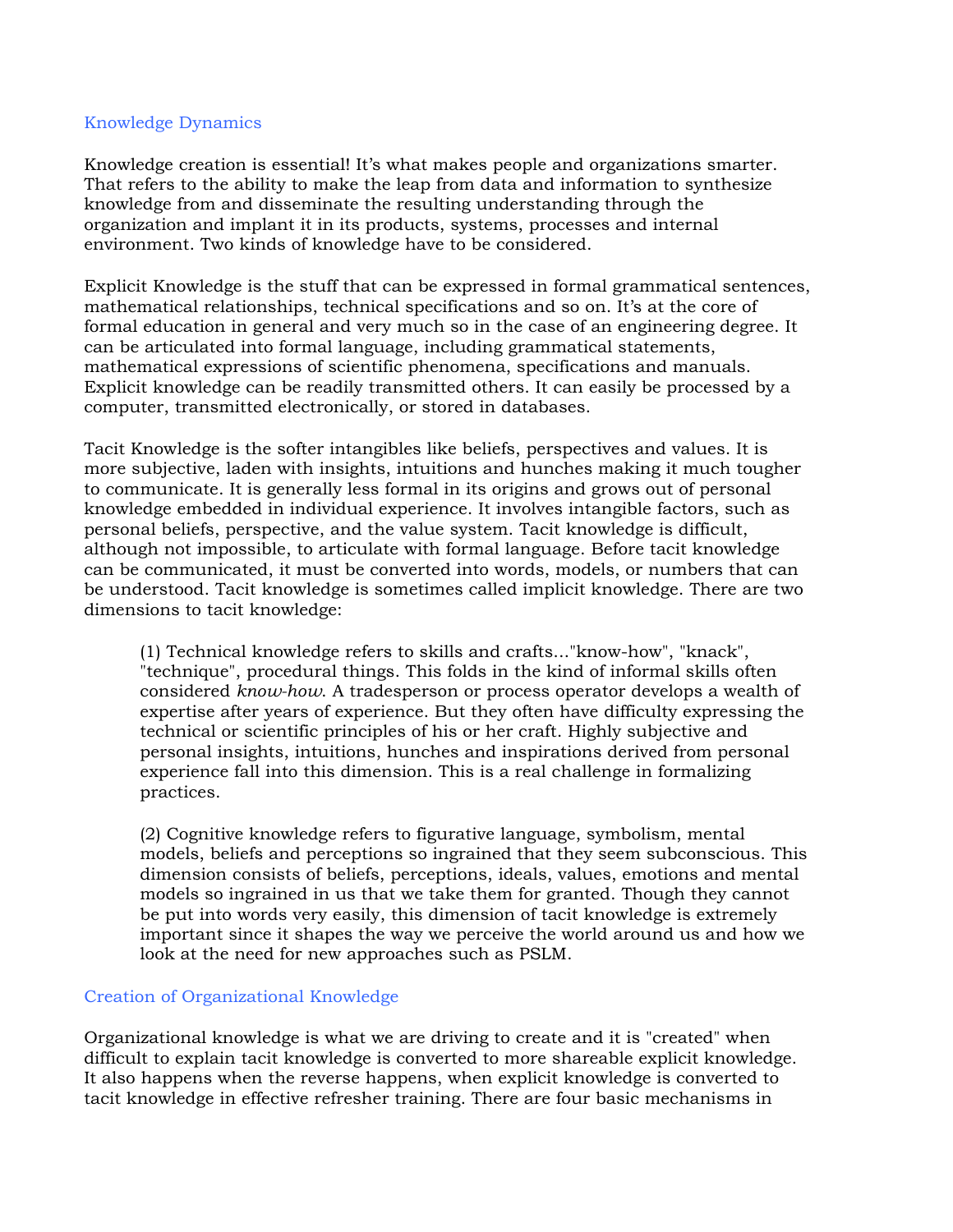#### Knowledge Dynamics

Knowledge creation is essential! It's what makes people and organizations smarter. That refers to the ability to make the leap from data and information to synthesize knowledge from and disseminate the resulting understanding through the organization and implant it in its products, systems, processes and internal environment. Two kinds of knowledge have to be considered.

Explicit Knowledge is the stuff that can be expressed in formal grammatical sentences, mathematical relationships, technical specifications and so on. It's at the core of formal education in general and very much so in the case of an engineering degree. It can be articulated into formal language, including grammatical statements, mathematical expressions of scientific phenomena, specifications and manuals. Explicit knowledge can be readily transmitted others. It can easily be processed by a computer, transmitted electronically, or stored in databases.

Tacit Knowledge is the softer intangibles like beliefs, perspectives and values. It is more subjective, laden with insights, intuitions and hunches making it much tougher to communicate. It is generally less formal in its origins and grows out of personal knowledge embedded in individual experience. It involves intangible factors, such as personal beliefs, perspective, and the value system. Tacit knowledge is difficult, although not impossible, to articulate with formal language. Before tacit knowledge can be communicated, it must be converted into words, models, or numbers that can be understood. Tacit knowledge is sometimes called implicit knowledge. There are two dimensions to tacit knowledge:

(1) Technical knowledge refers to skills and crafts..."know-how", "knack", "technique", procedural things. This folds in the kind of informal skills often considered *know-how*. A tradesperson or process operator develops a wealth of expertise after years of experience. But they often have difficulty expressing the technical or scientific principles of his or her craft. Highly subjective and personal insights, intuitions, hunches and inspirations derived from personal experience fall into this dimension. This is a real challenge in formalizing practices.

(2) Cognitive knowledge refers to figurative language, symbolism, mental models, beliefs and perceptions so ingrained that they seem subconscious. This dimension consists of beliefs, perceptions, ideals, values, emotions and mental models so ingrained in us that we take them for granted. Though they cannot be put into words very easily, this dimension of tacit knowledge is extremely important since it shapes the way we perceive the world around us and how we look at the need for new approaches such as PSLM.

# Creation of Organizational Knowledge

Organizational knowledge is what we are driving to create and it is "created" when difficult to explain tacit knowledge is converted to more shareable explicit knowledge. It also happens when the reverse happens, when explicit knowledge is converted to tacit knowledge in effective refresher training. There are four basic mechanisms in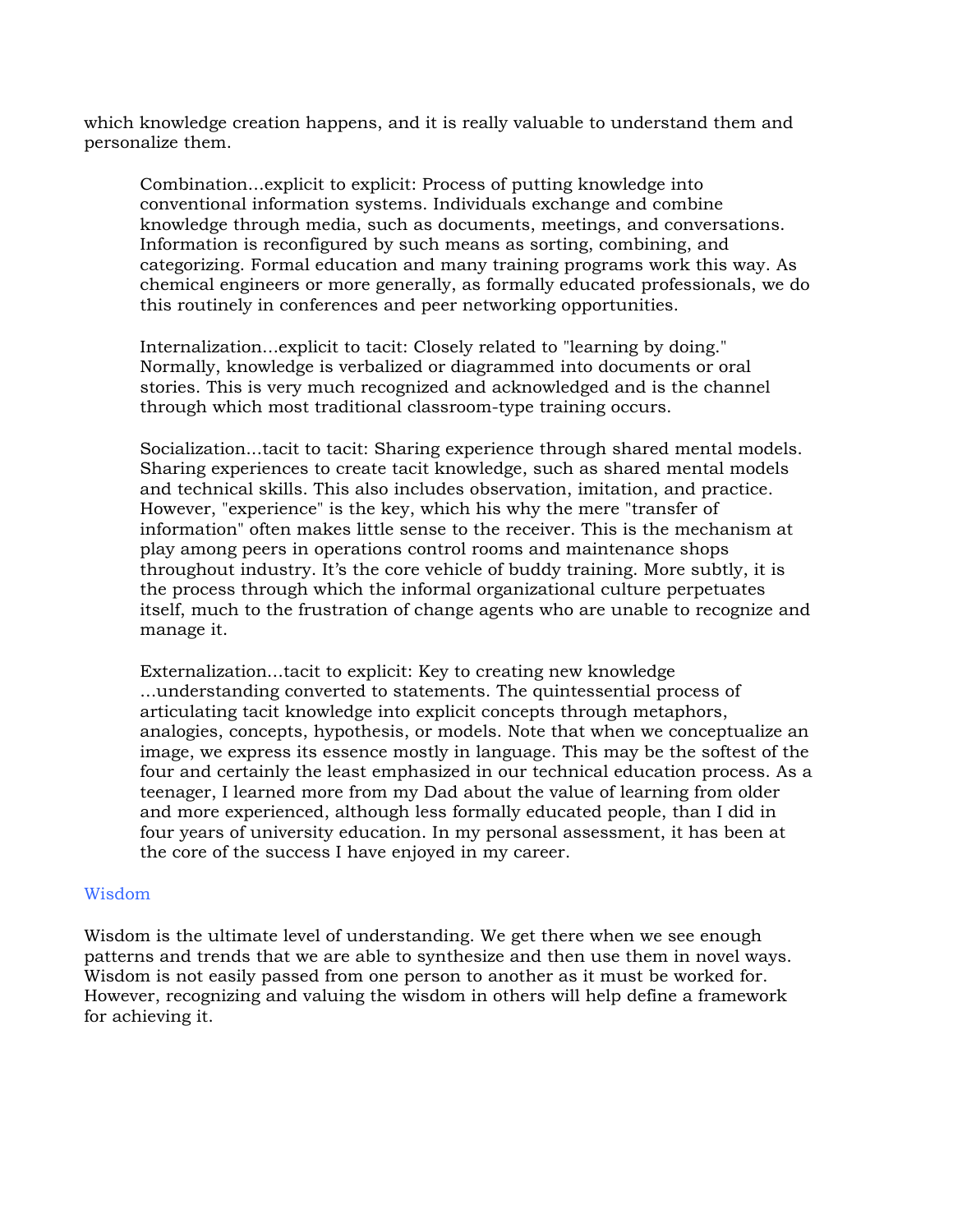which knowledge creation happens, and it is really valuable to understand them and personalize them.

Combination...explicit to explicit: Process of putting knowledge into conventional information systems. Individuals exchange and combine knowledge through media, such as documents, meetings, and conversations. Information is reconfigured by such means as sorting, combining, and categorizing. Formal education and many training programs work this way. As chemical engineers or more generally, as formally educated professionals, we do this routinely in conferences and peer networking opportunities.

Internalization...explicit to tacit: Closely related to "learning by doing." Normally, knowledge is verbalized or diagrammed into documents or oral stories. This is very much recognized and acknowledged and is the channel through which most traditional classroom-type training occurs.

Socialization...tacit to tacit: Sharing experience through shared mental models. Sharing experiences to create tacit knowledge, such as shared mental models and technical skills. This also includes observation, imitation, and practice. However, "experience" is the key, which his why the mere "transfer of information" often makes little sense to the receiver. This is the mechanism at play among peers in operations control rooms and maintenance shops throughout industry. It's the core vehicle of buddy training. More subtly, it is the process through which the informal organizational culture perpetuates itself, much to the frustration of change agents who are unable to recognize and manage it.

Externalization...tacit to explicit: Key to creating new knowledge ...understanding converted to statements. The quintessential process of articulating tacit knowledge into explicit concepts through metaphors, analogies, concepts, hypothesis, or models. Note that when we conceptualize an image, we express its essence mostly in language. This may be the softest of the four and certainly the least emphasized in our technical education process. As a teenager, I learned more from my Dad about the value of learning from older and more experienced, although less formally educated people, than I did in four years of university education. In my personal assessment, it has been at the core of the success I have enjoyed in my career.

#### Wisdom

Wisdom is the ultimate level of understanding. We get there when we see enough patterns and trends that we are able to synthesize and then use them in novel ways. Wisdom is not easily passed from one person to another as it must be worked for. However, recognizing and valuing the wisdom in others will help define a framework for achieving it.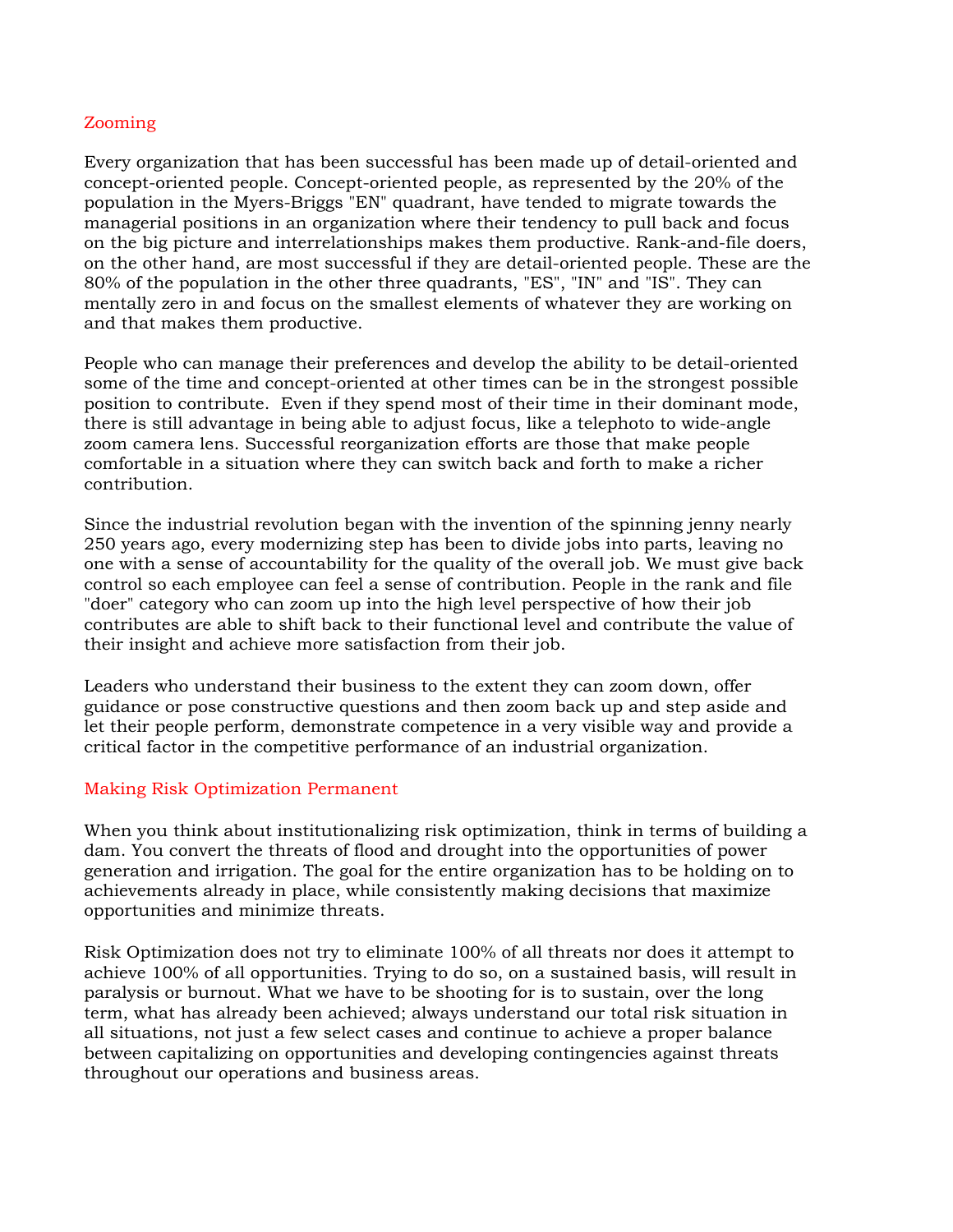## Zooming

Every organization that has been successful has been made up of detail-oriented and concept-oriented people. Concept-oriented people, as represented by the 20% of the population in the Myers-Briggs "EN" quadrant, have tended to migrate towards the managerial positions in an organization where their tendency to pull back and focus on the big picture and interrelationships makes them productive. Rank-and-file doers, on the other hand, are most successful if they are detail-oriented people. These are the 80% of the population in the other three quadrants, "ES", "IN" and "IS". They can mentally zero in and focus on the smallest elements of whatever they are working on and that makes them productive.

People who can manage their preferences and develop the ability to be detail-oriented some of the time and concept-oriented at other times can be in the strongest possible position to contribute. Even if they spend most of their time in their dominant mode, there is still advantage in being able to adjust focus, like a telephoto to wide-angle zoom camera lens. Successful reorganization efforts are those that make people comfortable in a situation where they can switch back and forth to make a richer contribution.

Since the industrial revolution began with the invention of the spinning jenny nearly 250 years ago, every modernizing step has been to divide jobs into parts, leaving no one with a sense of accountability for the quality of the overall job. We must give back control so each employee can feel a sense of contribution. People in the rank and file "doer" category who can zoom up into the high level perspective of how their job contributes are able to shift back to their functional level and contribute the value of their insight and achieve more satisfaction from their job.

Leaders who understand their business to the extent they can zoom down, offer guidance or pose constructive questions and then zoom back up and step aside and let their people perform, demonstrate competence in a very visible way and provide a critical factor in the competitive performance of an industrial organization.

#### Making Risk Optimization Permanent

When you think about institutionalizing risk optimization, think in terms of building a dam. You convert the threats of flood and drought into the opportunities of power generation and irrigation. The goal for the entire organization has to be holding on to achievements already in place, while consistently making decisions that maximize opportunities and minimize threats.

Risk Optimization does not try to eliminate 100% of all threats nor does it attempt to achieve 100% of all opportunities. Trying to do so, on a sustained basis, will result in paralysis or burnout. What we have to be shooting for is to sustain, over the long term, what has already been achieved; always understand our total risk situation in all situations, not just a few select cases and continue to achieve a proper balance between capitalizing on opportunities and developing contingencies against threats throughout our operations and business areas.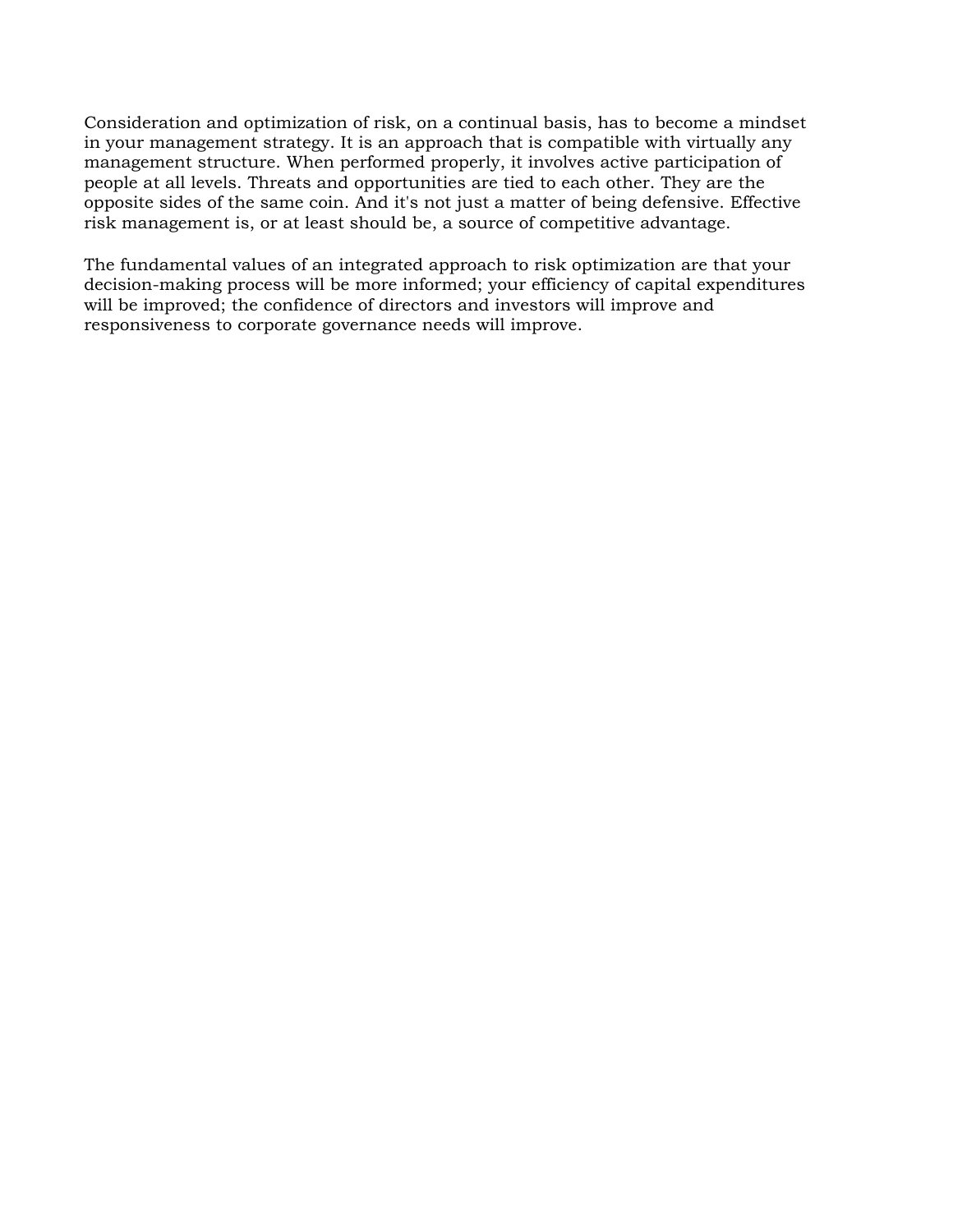Consideration and optimization of risk, on a continual basis, has to become a mindset in your management strategy. It is an approach that is compatible with virtually any management structure. When performed properly, it involves active participation of people at all levels. Threats and opportunities are tied to each other. They are the opposite sides of the same coin. And it's not just a matter of being defensive. Effective risk management is, or at least should be, a source of competitive advantage.

The fundamental values of an integrated approach to risk optimization are that your decision-making process will be more informed; your efficiency of capital expenditures will be improved; the confidence of directors and investors will improve and responsiveness to corporate governance needs will improve.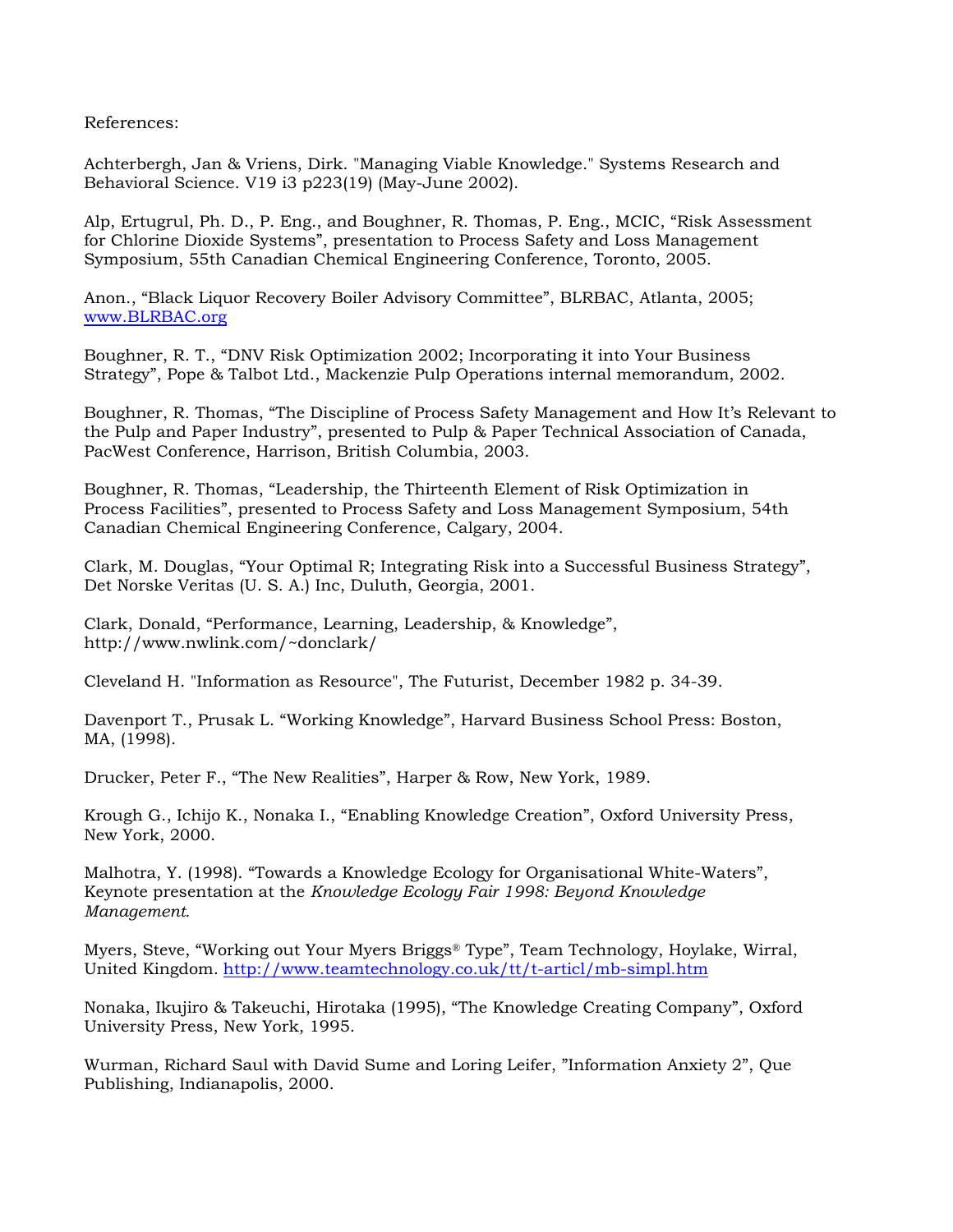References:

Achterbergh, Jan & Vriens, Dirk. "Managing Viable Knowledge." Systems Research and Behavioral Science. V19 i3 p223(19) (May-June 2002).

Alp, Ertugrul, Ph. D., P. Eng., and Boughner, R. Thomas, P. Eng., MCIC, "Risk Assessment for Chlorine Dioxide Systems", presentation to Process Safety and Loss Management Symposium, 55th Canadian Chemical Engineering Conference, Toronto, 2005.

Anon., "Black Liquor Recovery Boiler Advisory Committee", BLRBAC, Atlanta, 2005; www.BLRBAC.org

Boughner, R. T., "DNV Risk Optimization 2002; Incorporating it into Your Business Strategy", Pope & Talbot Ltd., Mackenzie Pulp Operations internal memorandum, 2002.

Boughner, R. Thomas, "The Discipline of Process Safety Management and How It's Relevant to the Pulp and Paper Industry", presented to Pulp & Paper Technical Association of Canada, PacWest Conference, Harrison, British Columbia, 2003.

Boughner, R. Thomas, "Leadership, the Thirteenth Element of Risk Optimization in Process Facilities", presented to Process Safety and Loss Management Symposium, 54th Canadian Chemical Engineering Conference, Calgary, 2004.

Clark, M. Douglas, "Your Optimal R; Integrating Risk into a Successful Business Strategy", Det Norske Veritas (U. S. A.) Inc, Duluth, Georgia, 2001.

Clark, Donald, "Performance, Learning, Leadership, & Knowledge", http://www.nwlink.com/~donclark/

Cleveland H. "Information as Resource", The Futurist, December 1982 p. 34-39.

Davenport T., Prusak L. "Working Knowledge", Harvard Business School Press: Boston, MA, (1998).

Drucker, Peter F., "The New Realities", Harper & Row, New York, 1989.

Krough G., Ichijo K., Nonaka I., "Enabling Knowledge Creation", Oxford University Press, New York, 2000.

Malhotra, Y. (1998). "Towards a Knowledge Ecology for Organisational White-Waters", Keynote presentation at the *Knowledge Ecology Fair 1998: Beyond Knowledge Management.*

Myers, Steve, "Working out Your Myers Briggs® Type", Team Technology, Hoylake, Wirral, United Kingdom. http://www.teamtechnology.co.uk/tt/t-articl/mb-simpl.htm

Nonaka, Ikujiro & Takeuchi, Hirotaka (1995), "The Knowledge Creating Company", Oxford University Press, New York, 1995.

Wurman, Richard Saul with David Sume and Loring Leifer, "Information Anxiety 2", Que Publishing, Indianapolis, 2000.